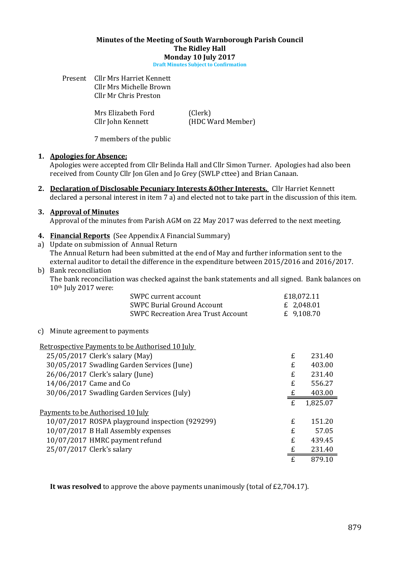#### Minutes of the Meeting of South Warnborough Parish Council The Ridley Hall Monday 10 July 2017

Draft Minutes Subject to Confirmation

Present Cllr Mrs Harriet Kennett Cllr Mrs Michelle Brown Cllr Mr Chris Preston

Mrs Elizabeth Ford (Clerk)

Cllr John Kennett (HDC Ward Member)

7 members of the public

### 1. Apologies for Absence:

Apologies were accepted from Cllr Belinda Hall and Cllr Simon Turner. Apologies had also been received from County Cllr Jon Glen and Jo Grey (SWLP cttee) and Brian Canaan.

2. Declaration of Disclosable Pecuniary Interests & Other Interests. Cllr Harriet Kennett declared a personal interest in item 7 a) and elected not to take part in the discussion of this item.

### 3. Approval of Minutes

Approval of the minutes from Parish AGM on 22 May 2017 was deferred to the next meeting.

### 4. Financial Reports (See Appendix A Financial Summary)

a) Update on submission of Annual Return

The Annual Return had been submitted at the end of May and further information sent to the external auditor to detail the difference in the expenditure between 2015/2016 and 2016/2017.

#### b) Bank reconciliation

The bank reconciliation was checked against the bank statements and all signed. Bank balances on 10th July 2017 were:

| SWPC current account                      | £18,072.11 |
|-------------------------------------------|------------|
| <b>SWPC Burial Ground Account</b>         | £ 2,048.01 |
| <b>SWPC Recreation Area Trust Account</b> | £ 9,108.70 |

#### c) Minute agreement to payments

| Retrospective Payments to be Authorised 10 July |    |          |
|-------------------------------------------------|----|----------|
| 25/05/2017 Clerk's salary (May)                 | £  | 231.40   |
| 30/05/2017 Swadling Garden Services (June)      | £  | 403.00   |
| 26/06/2017 Clerk's salary (June)                | £  | 231.40   |
| 14/06/2017 Came and Co                          | £  | 556.27   |
| 30/06/2017 Swadling Garden Services (July)      |    | 403.00   |
|                                                 | £  | 1,825.07 |
| Payments to be Authorised 10 July               |    |          |
| 10/07/2017 ROSPA playground inspection (929299) | £  | 151.20   |
| 10/07/2017 B Hall Assembly expenses             | £  | 57.05    |
| 10/07/2017 HMRC payment refund                  | £. | 439.45   |
| 25/07/2017 Clerk's salary                       |    | 231.40   |
|                                                 | f. | 879.10   |

It was resolved to approve the above payments unanimously (total of £2,704.17).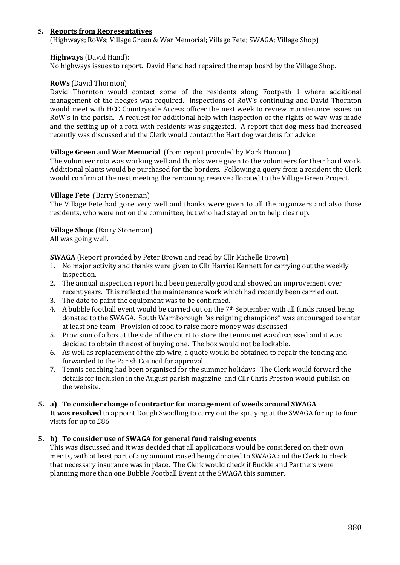# 5. Reports from Representatives

(Highways; RoWs; Village Green & War Memorial; Village Fete; SWAGA; Village Shop)

### Highways (David Hand):

No highways issues to report. David Hand had repaired the map board by the Village Shop.

### RoWs (David Thornton)

David Thornton would contact some of the residents along Footpath 1 where additional management of the hedges was required. Inspections of RoW's continuing and David Thornton would meet with HCC Countryside Access officer the next week to review maintenance issues on RoW's in the parish. A request for additional help with inspection of the rights of way was made and the setting up of a rota with residents was suggested. A report that dog mess had increased recently was discussed and the Clerk would contact the Hart dog wardens for advice.

### Village Green and War Memorial (from report provided by Mark Honour)

The volunteer rota was working well and thanks were given to the volunteers for their hard work. Additional plants would be purchased for the borders. Following a query from a resident the Clerk would confirm at the next meeting the remaining reserve allocated to the Village Green Project.

#### Village Fete (Barry Stoneman)

The Village Fete had gone very well and thanks were given to all the organizers and also those residents, who were not on the committee, but who had stayed on to help clear up.

Village Shop: (Barry Stoneman) All was going well.

SWAGA (Report provided by Peter Brown and read by Cllr Michelle Brown)

- 1. No major activity and thanks were given to Cllr Harriet Kennett for carrying out the weekly inspection.
- 2. The annual inspection report had been generally good and showed an improvement over recent years. This reflected the maintenance work which had recently been carried out.
- 3. The date to paint the equipment was to be confirmed.
- 4. A bubble football event would be carried out on the  $7<sup>th</sup>$  September with all funds raised being donated to the SWAGA. South Warnborough "as reigning champions" was encouraged to enter at least one team. Provision of food to raise more money was discussed.
- 5. Provision of a box at the side of the court to store the tennis net was discussed and it was decided to obtain the cost of buying one. The box would not be lockable.
- 6. As well as replacement of the zip wire, a quote would be obtained to repair the fencing and forwarded to the Parish Council for approval.
- 7. Tennis coaching had been organised for the summer holidays. The Clerk would forward the details for inclusion in the August parish magazine and Cllr Chris Preston would publish on the website.

#### 5. a) To consider change of contractor for management of weeds around SWAGA

It was resolved to appoint Dough Swadling to carry out the spraying at the SWAGA for up to four visits for up to £86.

# 5. b) To consider use of SWAGA for general fund raising events

This was discussed and it was decided that all applications would be considered on their own merits, with at least part of any amount raised being donated to SWAGA and the Clerk to check that necessary insurance was in place. The Clerk would check if Buckle and Partners were planning more than one Bubble Football Event at the SWAGA this summer.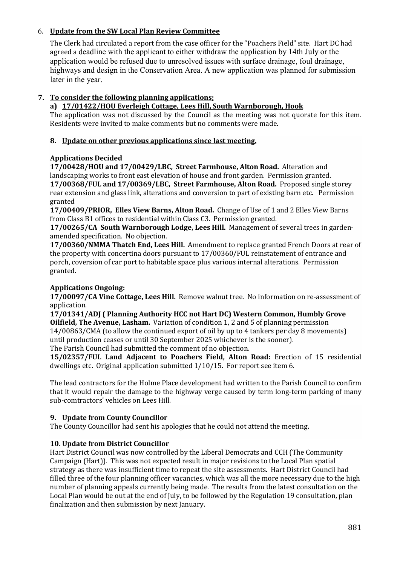# 6. Update from the SW Local Plan Review Committee

The Clerk had circulated a report from the case officer for the "Poachers Field" site. Hart DC had agreed a deadline with the applicant to either withdraw the application by 14th July or the application would be refused due to unresolved issues with surface drainage, foul drainage, highways and design in the Conservation Area. A new application was planned for submission later in the year.

# 7. To consider the following planning applications;

# a) 17/01422/HOU Everleigh Cottage, Lees Hill, South Warnborough, Hook

The application was not discussed by the Council as the meeting was not quorate for this item. Residents were invited to make comments but no comments were made.

# 8. Update on other previous applications since last meeting.

# Applications Decided

17/00428/HOU and 17/00429/LBC, Street Farmhouse, Alton Road. Alteration and landscaping works to front east elevation of house and front garden. Permission granted. 17/00368/FUL and 17/00369/LBC, Street Farmhouse, Alton Road. Proposed single storey rear extension and glass link, alterations and conversion to part of existing barn etc. Permission granted

17/00409/PRIOR, Elles View Barns, Alton Road. Change of Use of 1 and 2 Elles View Barns from Class B1 offices to residential within Class C3. Permission granted.

17/00265/CA South Warnborough Lodge, Lees Hill. Management of several trees in gardenamended specification. No objection.

17/00360/NMMA Thatch End, Lees Hill. Amendment to replace granted French Doors at rear of the property with concertina doors pursuant to 17/00360/FUL reinstatement of entrance and porch, coversion of car port to habitable space plus various internal alterations. Permission granted.

# Applications Ongoing:

17/00097/CA Vine Cottage, Lees Hill. Remove walnut tree. No information on re-assessment of application.

17/01341/ADJ ( Planning Authority HCC not Hart DC) Western Common, Humbly Grove Oilfield, The Avenue, Lasham. Variation of condition 1, 2 and 5 of planning permission 14/00863/CMA (to allow the continued export of oil by up to 4 tankers per day 8 movements) until production ceases or until 30 September 2025 whichever is the sooner).

The Parish Council had submitted the comment of no objection.

15/02357/FUL Land Adjacent to Poachers Field, Alton Road: Erection of 15 residential dwellings etc. Original application submitted 1/10/15. For report see item 6.

The lead contractors for the Holme Place development had written to the Parish Council to confirm that it would repair the damage to the highway verge caused by term long-term parking of many sub-comtractors' vehicles on Lees Hill.

# 9. Update from County Councillor

The County Councillor had sent his apologies that he could not attend the meeting.

# 10. Update from District Councillor

Hart District Council was now controlled by the Liberal Democrats and CCH (The Community Campaign (Hart)). This was not expected result in major revisions to the Local Plan spatial strategy as there was insufficient time to repeat the site assessments. Hart District Council had filled three of the four planning officer vacancies, which was all the more necessary due to the high number of planning appeals currently being made. The results from the latest consultation on the Local Plan would be out at the end of July, to be followed by the Regulation 19 consultation, plan finalization and then submission by next January.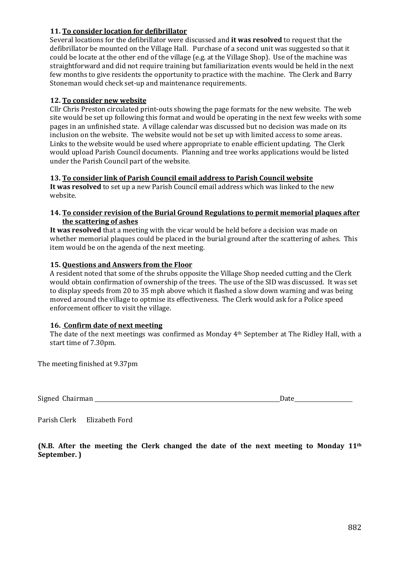# 11. To consider location for defibrillator

Several locations for the defibrillator were discussed and it was resolved to request that the defibrillator be mounted on the Village Hall. Purchase of a second unit was suggested so that it could be locate at the other end of the village (e.g. at the Village Shop). Use of the machine was straightforward and did not require training but familiarization events would be held in the next few months to give residents the opportunity to practice with the machine. The Clerk and Barry Stoneman would check set-up and maintenance requirements.

# 12. To consider new website

Cllr Chris Preston circulated print-outs showing the page formats for the new website. The web site would be set up following this format and would be operating in the next few weeks with some pages in an unfinished state. A village calendar was discussed but no decision was made on its inclusion on the website. The website would not be set up with limited access to some areas. Links to the website would be used where appropriate to enable efficient updating. The Clerk would upload Parish Council documents. Planning and tree works applications would be listed under the Parish Council part of the website.

# 13. To consider link of Parish Council email address to Parish Council website

It was resolved to set up a new Parish Council email address which was linked to the new website.

# 14. To consider revision of the Burial Ground Regulations to permit memorial plaques after the scattering of ashes

It was resolved that a meeting with the vicar would be held before a decision was made on whether memorial plaques could be placed in the burial ground after the scattering of ashes. This item would be on the agenda of the next meeting.

# 15. Questions and Answers from the Floor

A resident noted that some of the shrubs opposite the Village Shop needed cutting and the Clerk would obtain confirmation of ownership of the trees. The use of the SID was discussed. It was set to display speeds from 20 to 35 mph above which it flashed a slow down warning and was being moved around the village to optmise its effectiveness. The Clerk would ask for a Police speed enforcement officer to visit the village.

# 16. Confirm date of next meeting

The date of the next meetings was confirmed as Monday 4th September at The Ridley Hall, with a start time of 7.30pm.

The meeting finished at 9.37pm

Signed Chairman Date **Date** 

Parish Clerk Elizabeth Ford

(N.B. After the meeting the Clerk changed the date of the next meeting to Monday  $11<sup>th</sup>$ September. )